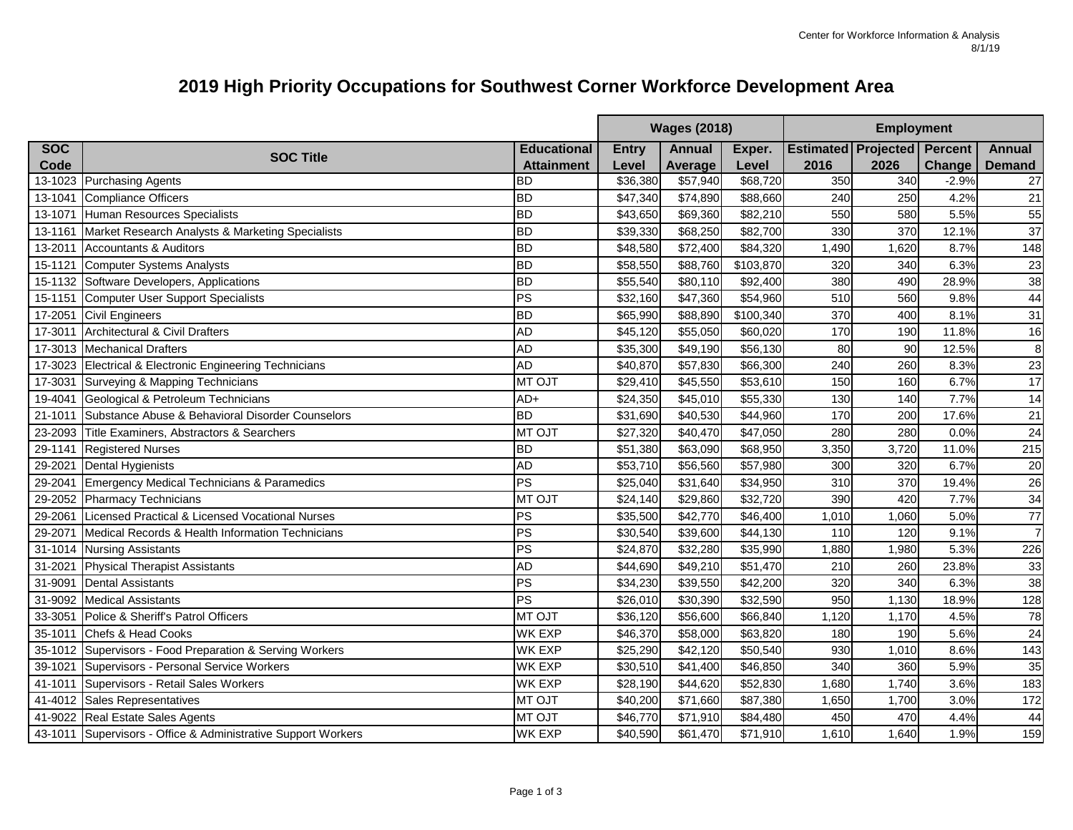## **2019 High Priority Occupations for Southwest Corner Workforce Development Area**

|                     |                                                               |                    | <b>Wages (2018)</b><br><b>Employment</b> |               |                      |       |                                    |               |                  |
|---------------------|---------------------------------------------------------------|--------------------|------------------------------------------|---------------|----------------------|-------|------------------------------------|---------------|------------------|
| <b>SOC</b>          |                                                               | <b>Educational</b> | <b>Entry</b>                             | <b>Annual</b> | Exper.               |       | <b>Estimated Projected Percent</b> |               | <b>Annual</b>    |
| Code                | <b>SOC Title</b>                                              | <b>Attainment</b>  | Level                                    | Average       | Level                | 2016  | 2026                               | <b>Change</b> | <b>Demand</b>    |
|                     | 13-1023 Purchasing Agents                                     | <b>BD</b>          | \$36,380                                 | \$57,940      | \$68,720             | 350   | 340                                | $-2.9%$       | 27               |
| 13-1041             | <b>Compliance Officers</b>                                    | ВD                 | \$47,340                                 | \$74,890      | \$88,660             | 240   | 250                                | 4.2%          | 21               |
| 13-1071             | Human Resources Specialists                                   | <b>BD</b>          | \$43,650                                 | \$69,360      | \$82,210             | 550   | 580                                | 5.5%          | 55               |
| 13-1161             | Market Research Analysts & Marketing Specialists              | <b>BD</b>          | \$39,330                                 | \$68,250      | \$82,700             | 330   | 370                                | 12.1%         | 37               |
| 13-2011             | <b>Accountants &amp; Auditors</b>                             | <b>BD</b>          | \$48,580                                 | \$72,400      | \$84,320             | 1,490 | 1,620                              | 8.7%          | 148              |
| 15-1121             | <b>Computer Systems Analysts</b>                              | <b>BD</b>          | \$58,550                                 | \$88,760      | \$103,870            | 320   | 340                                | 6.3%          | 23               |
|                     | 15-1132 Software Developers, Applications                     | <b>BD</b>          | \$55,540                                 | \$80,110      | \$92,400             | 380   | 490                                | 28.9%         | 38               |
| 15-1151             | Computer User Support Specialists                             | PS                 | \$32,160                                 | \$47,360      | \$54,960             | 510   | 560                                | 9.8%          | 44               |
| 17-2051             | <b>Civil Engineers</b>                                        | <b>BD</b>          | \$65,990                                 | \$88,890      | \$100,340            | 370   | 400                                | 8.1%          | 31               |
| 17-3011             | Architectural & Civil Drafters                                | AD                 | \$45,120                                 | \$55,050      | \$60,020             | 170   | 190                                | 11.8%         | 16               |
| 17-3013             | <b>Mechanical Drafters</b>                                    | <b>AD</b>          | \$35,300                                 | \$49,190      | \$56,130             | 80    | 90                                 | 12.5%         | $\boldsymbol{8}$ |
| 17-3023             | Electrical & Electronic Engineering Technicians               | <b>AD</b>          | \$40,870                                 | \$57,830      | \$66,300             | 240   | 260                                | 8.3%          | 23               |
| 17-3031             | Surveying & Mapping Technicians                               | <b>MT OJT</b>      | \$29,410                                 | \$45,550      | \$53,610             | 150   | 160                                | 6.7%          | 17               |
| 19-4041             | Geological & Petroleum Technicians                            | AD+                | \$24,350                                 | \$45,010      | \$55,330             | 130   | 140                                | 7.7%          | 14               |
| 21-1011             | Substance Abuse & Behavioral Disorder Counselors              | ВD                 | \$31,690                                 | \$40,530      | \$44,960             | 170   | 200                                | 17.6%         | 21               |
| 23-2093             | Title Examiners, Abstractors & Searchers                      | <b>MT OJT</b>      | \$27,320                                 | \$40,470      | \$47,050             | 280   | 280                                | 0.0%          | 24               |
| 29-1141             | <b>Registered Nurses</b>                                      | <b>BD</b>          | \$51,380                                 | \$63,090      | \$68,950             | 3,350 | 3,720                              | 11.0%         | 215              |
| 29-2021             | <b>Dental Hygienists</b>                                      | A <sub>D</sub>     | \$53,710                                 | \$56,560      | \$57,980             | 300   | 320                                | 6.7%          | 20               |
| 29-204 <sup>-</sup> | <b>Emergency Medical Technicians &amp; Paramedics</b>         | $\overline{PS}$    | \$25,040                                 | \$31,640      | \$34,950             | 310   | 370                                | 19.4%         | 26               |
| 29-2052             | Pharmacy Technicians                                          | <b>MT OJT</b>      | \$24,140                                 | \$29,860      | \$32,720             | 390   | 420                                | 7.7%          | 34               |
| 29-2061             | Licensed Practical & Licensed Vocational Nurses               | PS                 | \$35,500                                 | \$42,770      | \$46,400             | 1,010 | 1,060                              | 5.0%          | $\overline{77}$  |
| 29-207              | Medical Records & Health Information Technicians              | PS                 | \$30,540                                 | \$39,600      | \$44,130             | 110   | 120                                | 9.1%          | $\overline{7}$   |
| 31-1014             | <b>Nursing Assistants</b>                                     | PS                 | \$24,870                                 | \$32,280      | \$35,990             | 1,880 | 1,980                              | 5.3%          | 226              |
| $31 - 202$          | <b>Physical Therapist Assistants</b>                          | AD                 | \$44,690                                 | \$49,210      | \$51,470             | 210   | 260                                | 23.8%         | 33               |
| 31-9091             | <b>Dental Assistants</b>                                      | PS                 | \$34,230                                 | \$39,550      | \$42,200             | 320   | 340                                | 6.3%          | 38               |
| 31-9092             | <b>Medical Assistants</b>                                     | $\overline{PS}$    | \$26,010                                 | \$30,390      | \$32,590             | 950   | 1,130                              | 18.9%         | 128              |
| 33-3051             | Police & Sheriff's Patrol Officers                            | <b>MT OJT</b>      | \$36,120                                 | \$56,600      | \$66,840             | 1,120 | 1,170                              | 4.5%          | 78               |
| 35-1011             | Chefs & Head Cooks                                            | <b>WK EXP</b>      | \$46,370                                 | \$58,000      | \$63,820             | 180   | 190                                | 5.6%          | 24               |
|                     | 35-1012 Supervisors - Food Preparation & Serving Workers      | <b>WK EXP</b>      | \$25,290                                 | \$42,120      | \$50,540             | 930   | 1,010                              | 8.6%          | 143              |
| 39-1021             | Supervisors - Personal Service Workers                        | <b>WK EXP</b>      | \$30,510                                 | \$41,400      | \$46,850             | 340   | 360                                | 5.9%          | 35               |
| 41-1011             | Supervisors - Retail Sales Workers                            | <b>WK EXP</b>      | \$28,190                                 | \$44,620      | \$52,830             | 1,680 | 1,740                              | 3.6%          | 183              |
| 41-4012             | <b>Sales Representatives</b>                                  | <b>MT OJT</b>      | \$40,200                                 | \$71,660      | \$87,380             | 1,650 | 1,700                              | 3.0%          | $\overline{172}$ |
|                     | 41-9022 Real Estate Sales Agents                              | <b>MT OJT</b>      | \$46,770                                 | \$71,910      | \$84,480             | 450   | 470                                | 4.4%          | 44               |
|                     | 43-1011 Supervisors - Office & Administrative Support Workers | <b>WK EXP</b>      | \$40,590                                 | \$61,470      | $\overline{$}71,910$ | 1,610 | 1,640                              | 1.9%          | 159              |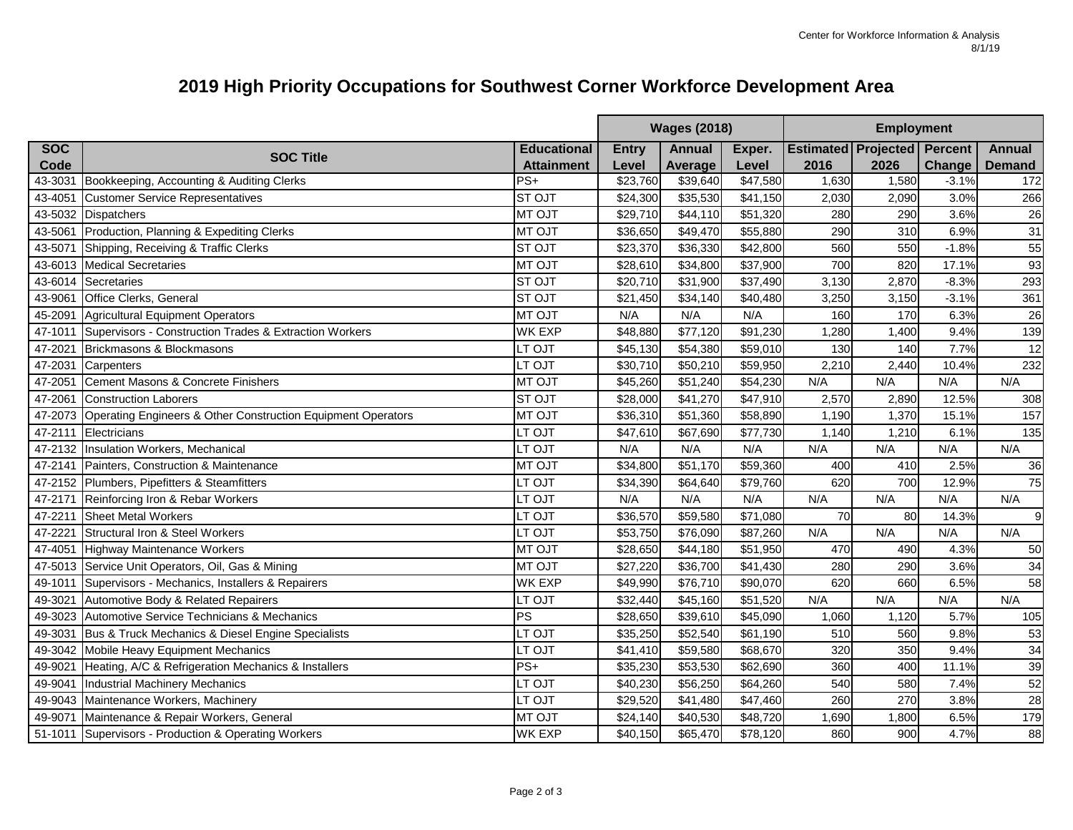## **2019 High Priority Occupations for Southwest Corner Workforce Development Area**

|            |                                                              |                    | <b>Wages (2018)</b><br><b>Employment</b> |               |                      |                                    |       |               |                 |
|------------|--------------------------------------------------------------|--------------------|------------------------------------------|---------------|----------------------|------------------------------------|-------|---------------|-----------------|
| <b>SOC</b> | <b>SOC Title</b>                                             | <b>Educational</b> | <b>Entry</b>                             | <b>Annual</b> | Exper.               | <b>Estimated Projected Percent</b> |       |               | <b>Annual</b>   |
| Code       |                                                              | <b>Attainment</b>  | Level                                    | Average       | Level                | 2016                               | 2026  | <b>Change</b> | <b>Demand</b>   |
| 43-3031    | Bookkeeping, Accounting & Auditing Clerks                    | $PS+$              | \$23,760                                 | \$39,640      | \$47,580             | 1,630                              | 1,580 | $-3.1%$       | 172             |
| 43-4051    | <b>Customer Service Representatives</b>                      | <b>STOJT</b>       | \$24,300                                 | \$35,530      | \$41,150             | 2,030                              | 2,090 | 3.0%          | 266             |
| 43-5032    | <b>Dispatchers</b>                                           | <b>MT OJT</b>      | \$29,710                                 | \$44,110      | $\overline{$}51,320$ | 280                                | 290   | 3.6%          | 26              |
| 43-5061    | Production, Planning & Expediting Clerks                     | <b>MT OJT</b>      | \$36,650                                 | \$49,470      | $\overline{$}55,880$ | 290                                | 310   | 6.9%          | 31              |
| 43-5071    | Shipping, Receiving & Traffic Clerks                         | <b>STOJT</b>       | \$23,370                                 | \$36,330      | \$42,800             | 560                                | 550   | $-1.8%$       | 55              |
|            | 43-6013 Medical Secretaries                                  | <b>MT OJT</b>      | \$28,610                                 | \$34,800      | \$37,900             | 700                                | 820   | 17.1%         | 93              |
| 43-6014    | Secretaries                                                  | <b>STOJT</b>       | \$20,710                                 | \$31,900      | \$37,490             | 3,130                              | 2,870 | $-8.3%$       | 293             |
| 43-9061    | <b>Office Clerks, General</b>                                | <b>STOJT</b>       | \$21,450                                 | \$34,140      | $\overline{$40,480}$ | 3,250                              | 3,150 | $-3.1%$       | 361             |
| 45-2091    | Agricultural Equipment Operators                             | <b>MT OJT</b>      | N/A                                      | N/A           | N/A                  | 160                                | 170   | 6.3%          | 26              |
| 47-1011    | Supervisors - Construction Trades & Extraction Workers       | <b>WK EXP</b>      | \$48,880                                 | \$77,120      | \$91,230             | 1,280                              | 1,400 | 9.4%          | 139             |
| 47-2021    | Brickmasons & Blockmasons                                    | LT OJT             | \$45,130                                 | \$54,380      | \$59,010             | 130                                | 140   | 7.7%          | 12              |
| 47-2031    | Carpenters                                                   | LT OJT             | \$30,710                                 | \$50,210      | \$59,950             | 2,210                              | 2,440 | 10.4%         | 232             |
| 47-2051    | Cement Masons & Concrete Finishers                           | <b>MT OJT</b>      | \$45,260                                 | \$51,240      | \$54,230             | N/A                                | N/A   | N/A           | N/A             |
| 47-2061    | <b>Construction Laborers</b>                                 | <b>ST OJT</b>      | \$28,000                                 | \$41,270      | \$47,910             | 2,570                              | 2,890 | 12.5%         | 308             |
| 47-2073    | Operating Engineers & Other Construction Equipment Operators | <b>MT OJT</b>      | \$36,310                                 | \$51,360      | \$58,890             | 1,190                              | 1,370 | 15.1%         | 157             |
| 47-2111    | Electricians                                                 | LT OJT             | \$47,610                                 | \$67,690      | \$77,730             | 1,140                              | 1,210 | 6.1%          | 135             |
| 47-2132    | Insulation Workers, Mechanical                               | LT OJT             | N/A                                      | N/A           | N/A                  | N/A                                | N/A   | N/A           | N/A             |
| 47-2141    | Painters, Construction & Maintenance                         | <b>MT OJT</b>      | \$34,800                                 | \$51,170      | \$59,360             | 400                                | 410   | 2.5%          | 36              |
|            | 47-2152 Plumbers, Pipefitters & Steamfitters                 | LT OJT             | \$34,390                                 | \$64,640      | \$79,760             | 620                                | 700   | 12.9%         | 75              |
| 47-2171    | Reinforcing Iron & Rebar Workers                             | LT OJT             | N/A                                      | N/A           | N/A                  | N/A                                | N/A   | N/A           | N/A             |
| 47-2211    | <b>Sheet Metal Workers</b>                                   | LT OJT             | \$36,570                                 | \$59,580      | \$71,080             | 70                                 | 80    | 14.3%         | 9 <sub>l</sub>  |
| 47-2221    | <b>Structural Iron &amp; Steel Workers</b>                   | LT OJT             | \$53,750                                 | \$76,090      | \$87,260             | N/A                                | N/A   | N/A           | N/A             |
| 47-4051    | Highway Maintenance Workers                                  | <b>MT OJT</b>      | \$28,650                                 | \$44,180      | \$51,950             | 470                                | 490   | 4.3%          | 50              |
|            | 47-5013 Service Unit Operators, Oil, Gas & Mining            | <b>MT OJT</b>      | \$27,220                                 | \$36,700      | \$41,430             | 280                                | 290   | 3.6%          | 34              |
| 49-1011    | Supervisors - Mechanics, Installers & Repairers              | <b>WK EXP</b>      | \$49,990                                 | \$76,710      | \$90,070             | 620                                | 660   | 6.5%          | 58              |
| 49-3021    | Automotive Body & Related Repairers                          | LT OJT             | \$32,440                                 | \$45,160      | \$51,520             | N/A                                | N/A   | N/A           | N/A             |
| 49-3023    | Automotive Service Technicians & Mechanics                   | PS                 | \$28,650                                 | \$39,610      | \$45,090             | 1,060                              | 1,120 | 5.7%          | 105             |
| 49-3031    | Bus & Truck Mechanics & Diesel Engine Specialists            | LT OJT             | \$35,250                                 | \$52,540      | \$61,190             | 510                                | 560   | 9.8%          | 53              |
| 49-3042    | Mobile Heavy Equipment Mechanics                             | LT OJT             | \$41,410                                 | \$59,580      | \$68,670             | 320                                | 350   | 9.4%          | 34              |
| 49-9021    | Heating, A/C & Refrigeration Mechanics & Installers          | $PS+$              | \$35,230                                 | \$53,530      | \$62,690             | 360                                | 400   | 11.1%         | 39              |
| 49-9041    | <b>Industrial Machinery Mechanics</b>                        | LT OJT             | \$40,230                                 | \$56,250      | \$64,260             | 540                                | 580   | 7.4%          | 52              |
| 49-9043    | Maintenance Workers, Machinery                               | LT OJT             | \$29,520                                 | \$41,480      | \$47,460             | 260                                | 270   | 3.8%          | $\overline{28}$ |
| 49-9071    | Maintenance & Repair Workers, General                        | <b>MT OJT</b>      | \$24,140                                 | \$40,530      | \$48,720             | 1,690                              | 1,800 | 6.5%          | 179             |
|            | 51-1011 Supervisors - Production & Operating Workers         | <b>WK EXP</b>      | \$40,150                                 | \$65,470      | $\overline{$}78,120$ | 860                                | 900   | 4.7%          | 88              |